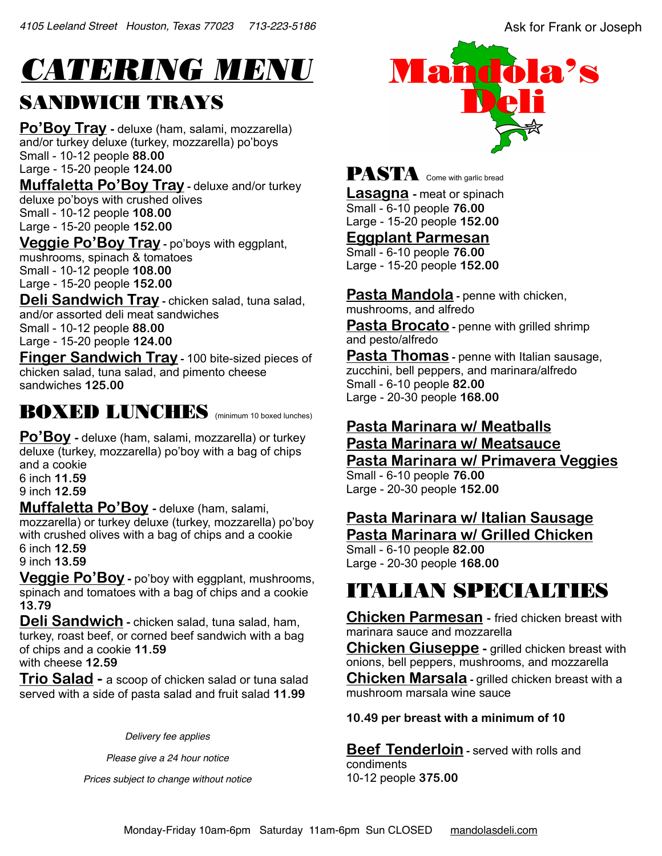# *CATERING MENU*

#### SANDWICH TRAYS

**Po'Boy Tray** - deluxe (ham, salami, mozzarella) and/or turkey deluxe (turkey, mozzarella) po'boys Small - 10-12 people **88.00**  Large - 15-20 people **124.00** 

**Muffaletta Po'Boy Tray** - deluxe and/or turkey deluxe po'boys with crushed olives Small - 10-12 people **108.00**  Large - 15-20 people **152.00**

**Veggie Po'Boy Tray -** po'boys with eggplant, mushrooms, spinach & tomatoes Small - 10-12 people **108.00**  Large - 15-20 people **152.00**

**Deli Sandwich Tray - chicken salad, tuna salad,** and/or assorted deli meat sandwiches Small - 10-12 people **88.00**  Large - 15-20 people **124.00**

**Finger Sandwich Tray -** 100 bite-sized pieces of chicken salad, tuna salad, and pimento cheese sandwiches **125.00**

#### BOXED LUNCHES (minimum 10 boxed lunches)

**Po'Boy** - deluxe (ham, salami, mozzarella) or turkey deluxe (turkey, mozzarella) po'boy with a bag of chips and a cookie 6 inch **11.59**  9 inch **12.59** 

**Muffaletta Po'Boy -** deluxe (ham, salami, mozzarella) or turkey deluxe (turkey, mozzarella) po'boy with crushed olives with a bag of chips and a cookie 6 inch **12.59**  9 inch **13.59** 

**Veggie Po'Boy -** po'boy with eggplant, mushrooms, spinach and tomatoes with a bag of chips and a cookie **13.79** 

**Deli Sandwich -** chicken salad, tuna salad, ham, turkey, roast beef, or corned beef sandwich with a bag of chips and a cookie **11.59** 

with cheese **12.59** 

**Trio Salad -** a scoop of chicken salad or tuna salad served with a side of pasta salad and fruit salad **11.99**

*Delivery fee applies*

*Please give a 24 hour notice* 

*Prices subject to change without notice*



### PASTA Come with garlic bread

**Lasagna -** meat or spinach Small - 6-10 people **76.00**  Large - 15-20 people **152.00** 

**Eggplant Parmesan** 

Small - 6-10 people **76.00**  Large - 15-20 people **152.00** 

**Pasta Mandola** - penne with chicken, mushrooms, and alfredo

**Pasta Brocato** - penne with grilled shrimp and pesto/alfredo

**Pasta Thomas** - penne with Italian sausage, zucchini, bell peppers, and marinara/alfredo Small - 6-10 people **82.00**  Large - 20-30 people **168.00** 

#### **Pasta Marinara w/ Meatballs Pasta Marinara w/ Meatsauce Pasta Marinara w/ Primavera Veggies**  Small - 6-10 people **76.00**

Large - 20-30 people **152.00** 

# **Pasta Marinara w/ Italian Sausage**

**Pasta Marinara w/ Grilled Chicken**  Small - 6-10 people **82.00** 

Large - 20-30 people **168.00**

# ITALIAN SPECIALTIES

**Chicken Parmesan -** fried chicken breast with marinara sauce and mozzarella

**Chicken Giuseppe -** grilled chicken breast with onions, bell peppers, mushrooms, and mozzarella **Chicken Marsala -** grilled chicken breast with a mushroom marsala wine sauce

**10.49 per breast with a minimum of 10**

**Beef Tenderloin** - served with rolls and condiments 10-12 people **375.00**